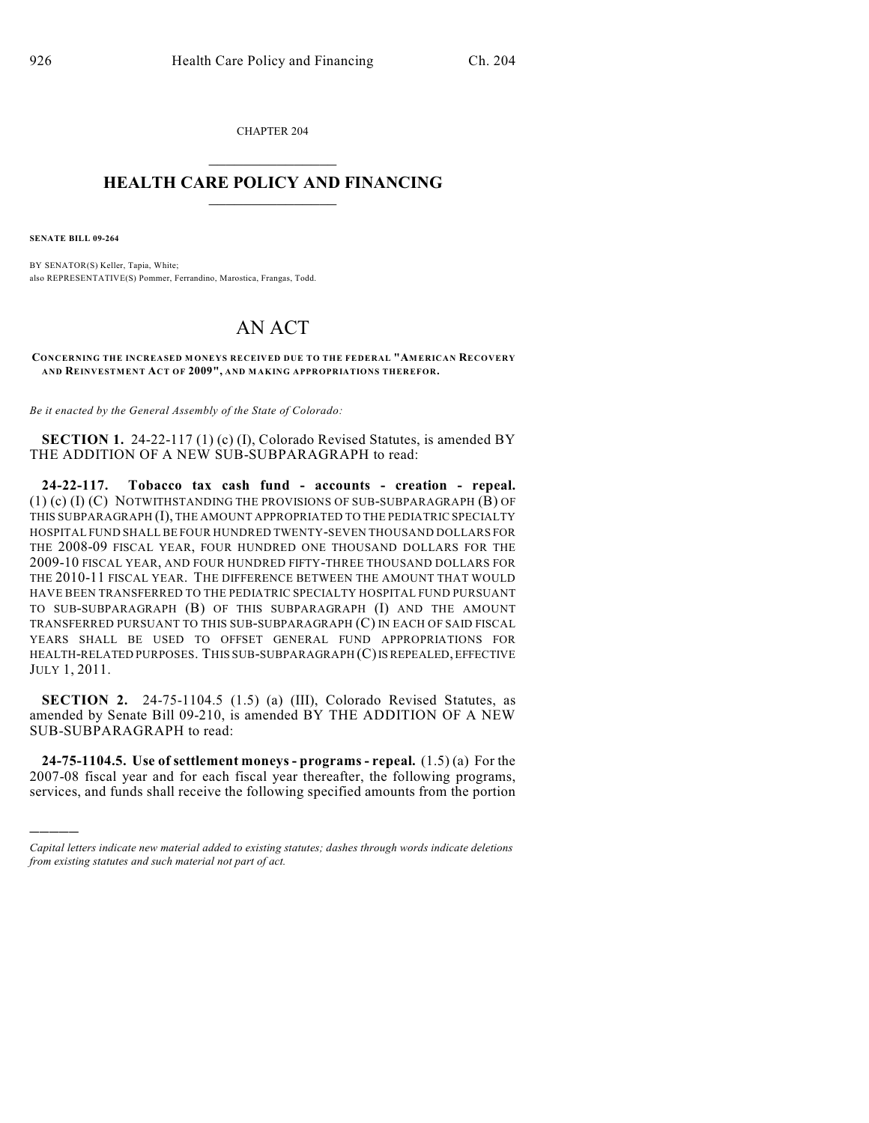CHAPTER 204  $\overline{\phantom{a}}$  . The set of the set of the set of the set of the set of the set of the set of the set of the set of the set of the set of the set of the set of the set of the set of the set of the set of the set of the set o

## **HEALTH CARE POLICY AND FINANCING**  $\_$   $\_$   $\_$   $\_$   $\_$   $\_$   $\_$   $\_$

**SENATE BILL 09-264**

)))))

BY SENATOR(S) Keller, Tapia, White; also REPRESENTATIVE(S) Pommer, Ferrandino, Marostica, Frangas, Todd.

## AN ACT

**CONCERNING THE INCREASED M ONEYS RECEIVED DUE TO THE FEDERAL "AMERICAN RECOVERY AND REINVESTMENT ACT OF 2009", AND MAKING APPROPRIATIONS THEREFOR.**

*Be it enacted by the General Assembly of the State of Colorado:*

**SECTION 1.** 24-22-117 (1) (c) (I), Colorado Revised Statutes, is amended BY THE ADDITION OF A NEW SUB-SUBPARAGRAPH to read:

**24-22-117. Tobacco tax cash fund - accounts - creation - repeal.** (1) (c) (I) (C) NOTWITHSTANDING THE PROVISIONS OF SUB-SUBPARAGRAPH (B) OF THIS SUBPARAGRAPH (I), THE AMOUNT APPROPRIATED TO THE PEDIATRIC SPECIALTY HOSPITAL FUND SHALL BE FOUR HUNDRED TWENTY-SEVEN THOUSAND DOLLARS FOR THE 2008-09 FISCAL YEAR, FOUR HUNDRED ONE THOUSAND DOLLARS FOR THE 2009-10 FISCAL YEAR, AND FOUR HUNDRED FIFTY-THREE THOUSAND DOLLARS FOR THE 2010-11 FISCAL YEAR. THE DIFFERENCE BETWEEN THE AMOUNT THAT WOULD HAVE BEEN TRANSFERRED TO THE PEDIATRIC SPECIALTY HOSPITAL FUND PURSUANT TO SUB-SUBPARAGRAPH (B) OF THIS SUBPARAGRAPH (I) AND THE AMOUNT TRANSFERRED PURSUANT TO THIS SUB-SUBPARAGRAPH (C) IN EACH OF SAID FISCAL YEARS SHALL BE USED TO OFFSET GENERAL FUND APPROPRIATIONS FOR HEALTH-RELATED PURPOSES. THIS SUB-SUBPARAGRAPH (C) IS REPEALED, EFFECTIVE JULY 1, 2011.

**SECTION 2.** 24-75-1104.5 (1.5) (a) (III), Colorado Revised Statutes, as amended by Senate Bill 09-210, is amended BY THE ADDITION OF A NEW SUB-SUBPARAGRAPH to read:

**24-75-1104.5. Use of settlement moneys - programs - repeal.** (1.5) (a) For the 2007-08 fiscal year and for each fiscal year thereafter, the following programs, services, and funds shall receive the following specified amounts from the portion

*Capital letters indicate new material added to existing statutes; dashes through words indicate deletions from existing statutes and such material not part of act.*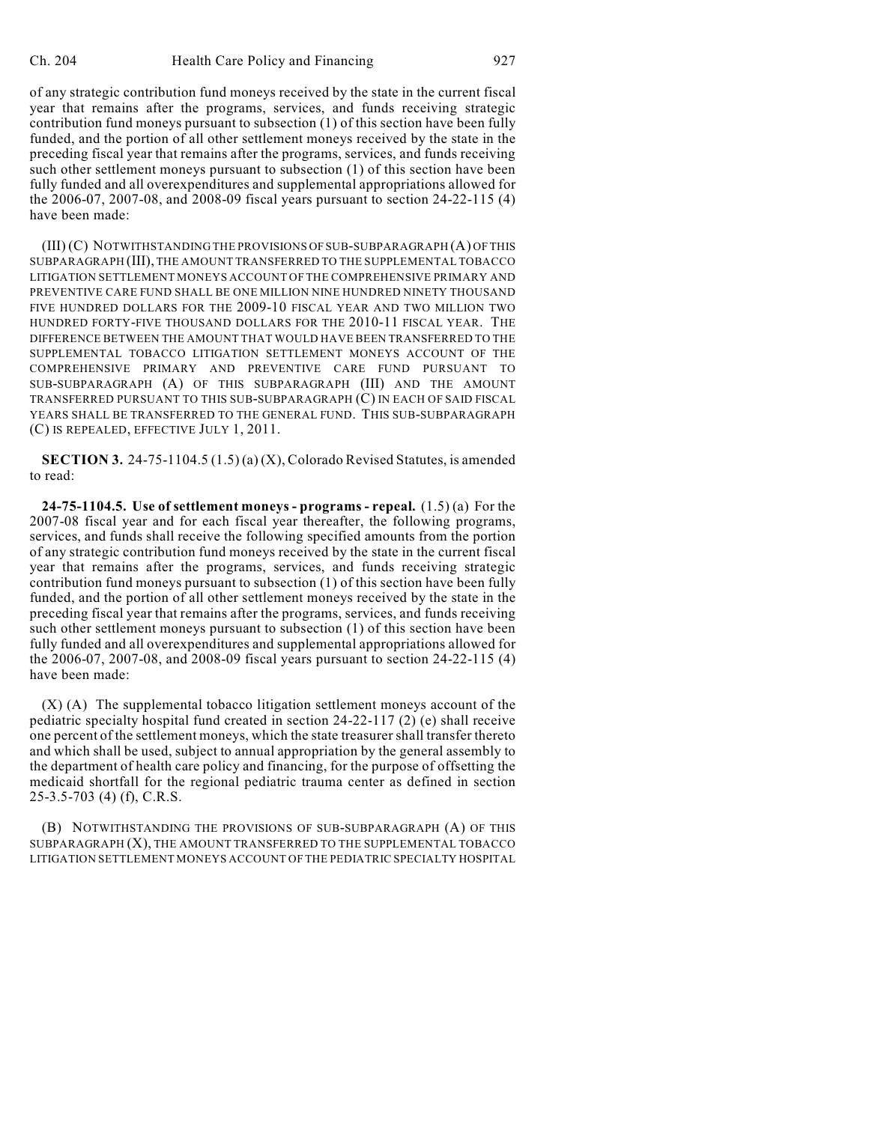of any strategic contribution fund moneys received by the state in the current fiscal year that remains after the programs, services, and funds receiving strategic contribution fund moneys pursuant to subsection (1) of this section have been fully funded, and the portion of all other settlement moneys received by the state in the preceding fiscal year that remains after the programs, services, and funds receiving such other settlement moneys pursuant to subsection (1) of this section have been fully funded and all overexpenditures and supplemental appropriations allowed for the 2006-07, 2007-08, and 2008-09 fiscal years pursuant to section 24-22-115 (4) have been made:

(III) (C) NOTWITHSTANDING THE PROVISIONS OF SUB-SUBPARAGRAPH (A) OF THIS SUBPARAGRAPH (III), THE AMOUNT TRANSFERRED TO THE SUPPLEMENTAL TOBACCO LITIGATION SETTLEMENT MONEYS ACCOUNT OF THE COMPREHENSIVE PRIMARY AND PREVENTIVE CARE FUND SHALL BE ONE MILLION NINE HUNDRED NINETY THOUSAND FIVE HUNDRED DOLLARS FOR THE 2009-10 FISCAL YEAR AND TWO MILLION TWO HUNDRED FORTY-FIVE THOUSAND DOLLARS FOR THE 2010-11 FISCAL YEAR. THE DIFFERENCE BETWEEN THE AMOUNT THAT WOULD HAVE BEEN TRANSFERRED TO THE SUPPLEMENTAL TOBACCO LITIGATION SETTLEMENT MONEYS ACCOUNT OF THE COMPREHENSIVE PRIMARY AND PREVENTIVE CARE FUND PURSUANT TO SUB-SUBPARAGRAPH (A) OF THIS SUBPARAGRAPH (III) AND THE AMOUNT TRANSFERRED PURSUANT TO THIS SUB-SUBPARAGRAPH (C) IN EACH OF SAID FISCAL YEARS SHALL BE TRANSFERRED TO THE GENERAL FUND. THIS SUB-SUBPARAGRAPH (C) IS REPEALED, EFFECTIVE JULY 1, 2011.

**SECTION 3.** 24-75-1104.5 (1.5) (a) (X), Colorado Revised Statutes, is amended to read:

**24-75-1104.5. Use of settlement moneys - programs - repeal.** (1.5) (a) For the 2007-08 fiscal year and for each fiscal year thereafter, the following programs, services, and funds shall receive the following specified amounts from the portion of any strategic contribution fund moneys received by the state in the current fiscal year that remains after the programs, services, and funds receiving strategic contribution fund moneys pursuant to subsection (1) of this section have been fully funded, and the portion of all other settlement moneys received by the state in the preceding fiscal year that remains after the programs, services, and funds receiving such other settlement moneys pursuant to subsection (1) of this section have been fully funded and all overexpenditures and supplemental appropriations allowed for the 2006-07, 2007-08, and 2008-09 fiscal years pursuant to section 24-22-115 (4) have been made:

(X) (A) The supplemental tobacco litigation settlement moneys account of the pediatric specialty hospital fund created in section 24-22-117 (2) (e) shall receive one percent of the settlement moneys, which the state treasurer shall transfer thereto and which shall be used, subject to annual appropriation by the general assembly to the department of health care policy and financing, for the purpose of offsetting the medicaid shortfall for the regional pediatric trauma center as defined in section 25-3.5-703 (4) (f), C.R.S.

(B) NOTWITHSTANDING THE PROVISIONS OF SUB-SUBPARAGRAPH (A) OF THIS SUBPARAGRAPH (X), THE AMOUNT TRANSFERRED TO THE SUPPLEMENTAL TOBACCO LITIGATION SETTLEMENT MONEYS ACCOUNT OF THE PEDIATRIC SPECIALTY HOSPITAL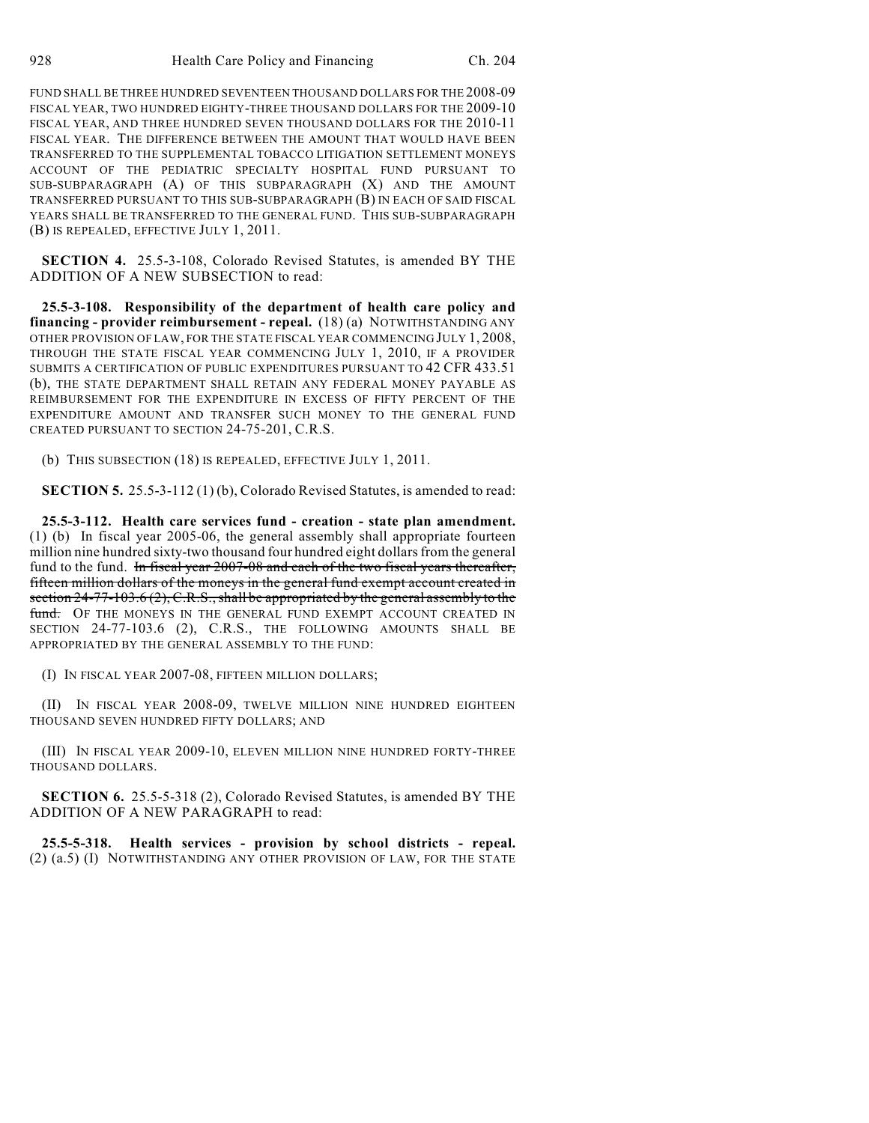FUND SHALL BE THREE HUNDRED SEVENTEEN THOUSAND DOLLARS FOR THE 2008-09 FISCAL YEAR, TWO HUNDRED EIGHTY-THREE THOUSAND DOLLARS FOR THE 2009-10 FISCAL YEAR, AND THREE HUNDRED SEVEN THOUSAND DOLLARS FOR THE 2010-11 FISCAL YEAR. THE DIFFERENCE BETWEEN THE AMOUNT THAT WOULD HAVE BEEN TRANSFERRED TO THE SUPPLEMENTAL TOBACCO LITIGATION SETTLEMENT MONEYS ACCOUNT OF THE PEDIATRIC SPECIALTY HOSPITAL FUND PURSUANT TO SUB-SUBPARAGRAPH (A) OF THIS SUBPARAGRAPH (X) AND THE AMOUNT TRANSFERRED PURSUANT TO THIS SUB-SUBPARAGRAPH (B) IN EACH OF SAID FISCAL YEARS SHALL BE TRANSFERRED TO THE GENERAL FUND. THIS SUB-SUBPARAGRAPH (B) IS REPEALED, EFFECTIVE JULY 1, 2011.

**SECTION 4.** 25.5-3-108, Colorado Revised Statutes, is amended BY THE ADDITION OF A NEW SUBSECTION to read:

**25.5-3-108. Responsibility of the department of health care policy and financing - provider reimbursement - repeal.** (18) (a) NOTWITHSTANDING ANY OTHER PROVISION OF LAW, FOR THE STATE FISCAL YEAR COMMENCING JULY 1, 2008, THROUGH THE STATE FISCAL YEAR COMMENCING JULY 1, 2010, IF A PROVIDER SUBMITS A CERTIFICATION OF PUBLIC EXPENDITURES PURSUANT TO 42 CFR 433.51 (b), THE STATE DEPARTMENT SHALL RETAIN ANY FEDERAL MONEY PAYABLE AS REIMBURSEMENT FOR THE EXPENDITURE IN EXCESS OF FIFTY PERCENT OF THE EXPENDITURE AMOUNT AND TRANSFER SUCH MONEY TO THE GENERAL FUND CREATED PURSUANT TO SECTION 24-75-201, C.R.S.

(b) THIS SUBSECTION (18) IS REPEALED, EFFECTIVE JULY 1, 2011.

**SECTION 5.** 25.5-3-112 (1) (b), Colorado Revised Statutes, is amended to read:

**25.5-3-112. Health care services fund - creation - state plan amendment.** (1) (b) In fiscal year 2005-06, the general assembly shall appropriate fourteen million nine hundred sixty-two thousand four hundred eight dollars from the general fund to the fund. In fiscal year 2007-08 and each of the two fiscal years thereafter, fifteen million dollars of the moneys in the general fund exempt account created in section  $24-77-103.6$  (2), C.R.S., shall be appropriated by the general assembly to the fund. OF THE MONEYS IN THE GENERAL FUND EXEMPT ACCOUNT CREATED IN SECTION 24-77-103.6 (2), C.R.S., THE FOLLOWING AMOUNTS SHALL BE APPROPRIATED BY THE GENERAL ASSEMBLY TO THE FUND:

(I) IN FISCAL YEAR 2007-08, FIFTEEN MILLION DOLLARS;

(II) IN FISCAL YEAR 2008-09, TWELVE MILLION NINE HUNDRED EIGHTEEN THOUSAND SEVEN HUNDRED FIFTY DOLLARS; AND

(III) IN FISCAL YEAR 2009-10, ELEVEN MILLION NINE HUNDRED FORTY-THREE THOUSAND DOLLARS.

**SECTION 6.** 25.5-5-318 (2), Colorado Revised Statutes, is amended BY THE ADDITION OF A NEW PARAGRAPH to read:

**25.5-5-318. Health services - provision by school districts - repeal.** (2) (a.5) (I) NOTWITHSTANDING ANY OTHER PROVISION OF LAW, FOR THE STATE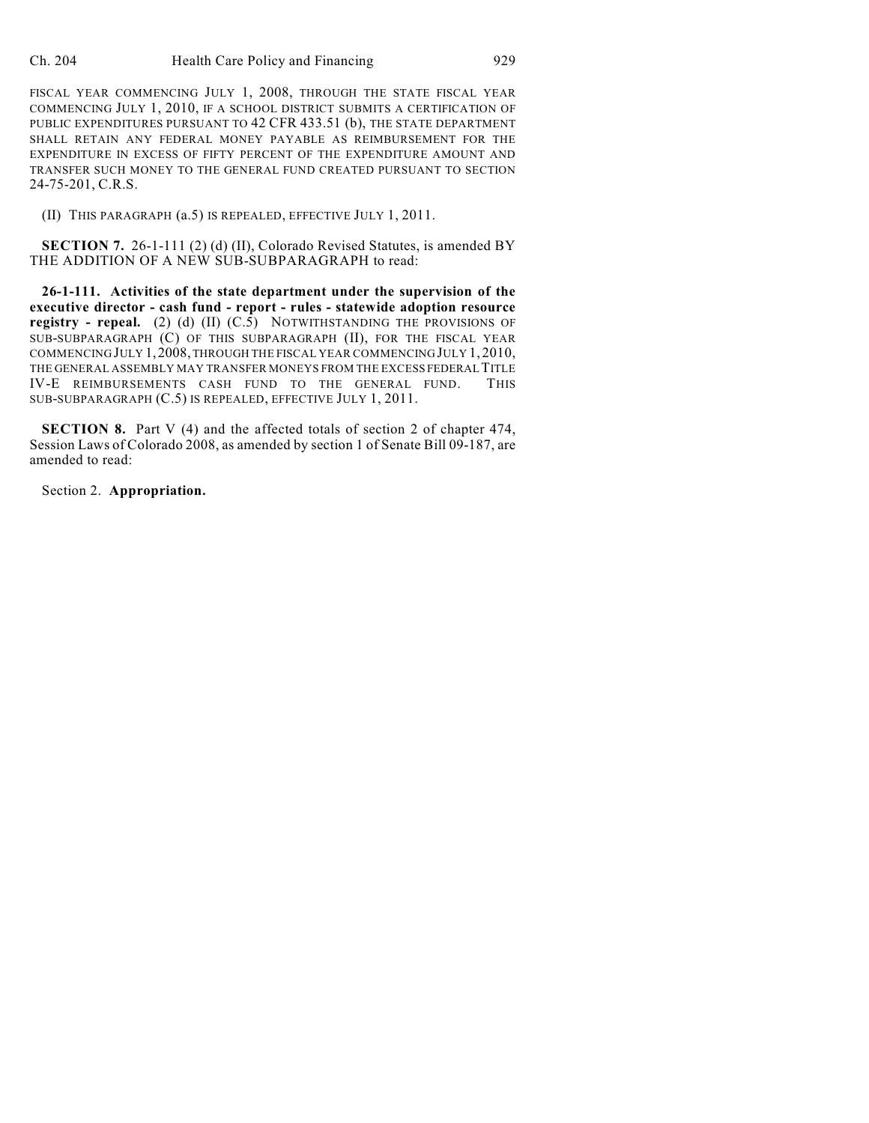FISCAL YEAR COMMENCING JULY 1, 2008, THROUGH THE STATE FISCAL YEAR COMMENCING JULY 1, 2010, IF A SCHOOL DISTRICT SUBMITS A CERTIFICATION OF PUBLIC EXPENDITURES PURSUANT TO 42 CFR 433.51 (b), THE STATE DEPARTMENT SHALL RETAIN ANY FEDERAL MONEY PAYABLE AS REIMBURSEMENT FOR THE EXPENDITURE IN EXCESS OF FIFTY PERCENT OF THE EXPENDITURE AMOUNT AND TRANSFER SUCH MONEY TO THE GENERAL FUND CREATED PURSUANT TO SECTION 24-75-201, C.R.S.

(II) THIS PARAGRAPH (a.5) IS REPEALED, EFFECTIVE JULY 1, 2011.

**SECTION 7.** 26-1-111 (2) (d) (II), Colorado Revised Statutes, is amended BY THE ADDITION OF A NEW SUB-SUBPARAGRAPH to read:

**26-1-111. Activities of the state department under the supervision of the executive director - cash fund - report - rules - statewide adoption resource registry - repeal.** (2) (d) (II) (C.5) NOTWITHSTANDING THE PROVISIONS OF SUB-SUBPARAGRAPH (C) OF THIS SUBPARAGRAPH (II), FOR THE FISCAL YEAR COMMENCING JULY 1,2008, THROUGH THE FISCAL YEAR COMMENCING JULY 1, 2010, THE GENERAL ASSEMBLY MAY TRANSFER MONEYS FROM THE EXCESS FEDERAL TITLE IV-E REIMBURSEMENTS CASH FUND TO THE GENERAL FUND. THIS SUB-SUBPARAGRAPH (C.5) IS REPEALED, EFFECTIVE JULY 1, 2011.

**SECTION 8.** Part V (4) and the affected totals of section 2 of chapter 474, Session Laws of Colorado 2008, as amended by section 1 of Senate Bill 09-187, are amended to read:

Section 2. **Appropriation.**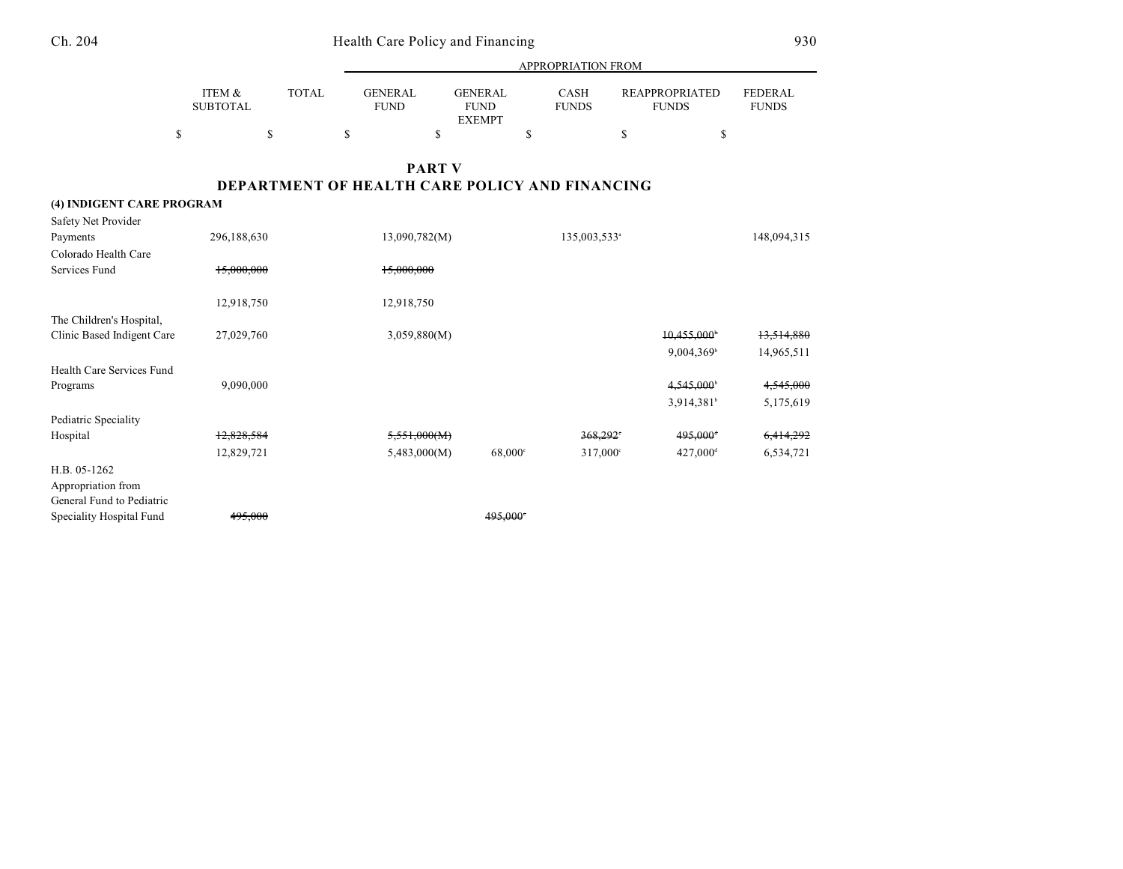|                                                                 |                           |              | APPROPRIATION FROM            |                                                       |                             |                          |                                       |                                |  |
|-----------------------------------------------------------------|---------------------------|--------------|-------------------------------|-------------------------------------------------------|-----------------------------|--------------------------|---------------------------------------|--------------------------------|--|
|                                                                 | ITEM &<br><b>SUBTOTAL</b> | <b>TOTAL</b> | <b>GENERAL</b><br><b>FUND</b> | <b>GENERAL</b><br><b>FUND</b><br><b>EXEMPT</b>        | <b>CASH</b><br><b>FUNDS</b> |                          | <b>REAPPROPRIATED</b><br><b>FUNDS</b> | <b>FEDERAL</b><br><b>FUNDS</b> |  |
| \$                                                              |                           | \$           | $\mathbf S$                   | \$                                                    | \$                          | $\mathbf S$              | \$                                    |                                |  |
|                                                                 |                           |              |                               | <b>PART V</b>                                         |                             |                          |                                       |                                |  |
|                                                                 |                           |              |                               | <b>DEPARTMENT OF HEALTH CARE POLICY AND FINANCING</b> |                             |                          |                                       |                                |  |
| (4) INDIGENT CARE PROGRAM                                       |                           |              |                               |                                                       |                             |                          |                                       |                                |  |
| Safety Net Provider                                             |                           |              |                               |                                                       |                             |                          |                                       |                                |  |
| Payments                                                        | 296,188,630               |              | 13,090,782(M)                 |                                                       |                             | 135,003,533 <sup>a</sup> |                                       | 148,094,315                    |  |
| Colorado Health Care                                            |                           |              |                               |                                                       |                             |                          |                                       |                                |  |
| Services Fund                                                   | 15,000,000                |              | 15,000,000                    |                                                       |                             |                          |                                       |                                |  |
|                                                                 | 12,918,750                |              | 12,918,750                    |                                                       |                             |                          |                                       |                                |  |
| The Children's Hospital,                                        |                           |              |                               |                                                       |                             |                          |                                       |                                |  |
| Clinic Based Indigent Care                                      | 27,029,760                |              | 3,059,880(M)                  |                                                       |                             |                          | 10,455,000                            | 13,514,880                     |  |
|                                                                 |                           |              |                               |                                                       |                             |                          | 9,004,369 <sup>b</sup>                | 14,965,511                     |  |
| Health Care Services Fund                                       |                           |              |                               |                                                       |                             |                          |                                       |                                |  |
| Programs                                                        | 9,090,000                 |              |                               |                                                       |                             |                          | $4,545,000$ <sup>b</sup>              | 4,545,000                      |  |
|                                                                 |                           |              |                               |                                                       |                             |                          | 3,914,381 <sup>b</sup>                | 5,175,619                      |  |
| Pediatric Speciality                                            |                           |              |                               |                                                       |                             |                          |                                       |                                |  |
| Hospital                                                        | 12,828,584                |              | 5,551,000(M)                  |                                                       |                             | $368.292$ <sup>*</sup>   | 495,000+                              | 6,414,292                      |  |
|                                                                 | 12,829,721                |              | 5,483,000(M)                  | 68,000 <sup>c</sup>                                   |                             | 317,000°                 | 427,000 <sup>d</sup>                  | 6,534,721                      |  |
| H.B. 05-1262<br>Appropriation from<br>General Fund to Pediatric |                           |              |                               |                                                       |                             |                          |                                       |                                |  |
| Speciality Hospital Fund                                        | 495,000                   |              |                               | 495,000                                               |                             |                          |                                       |                                |  |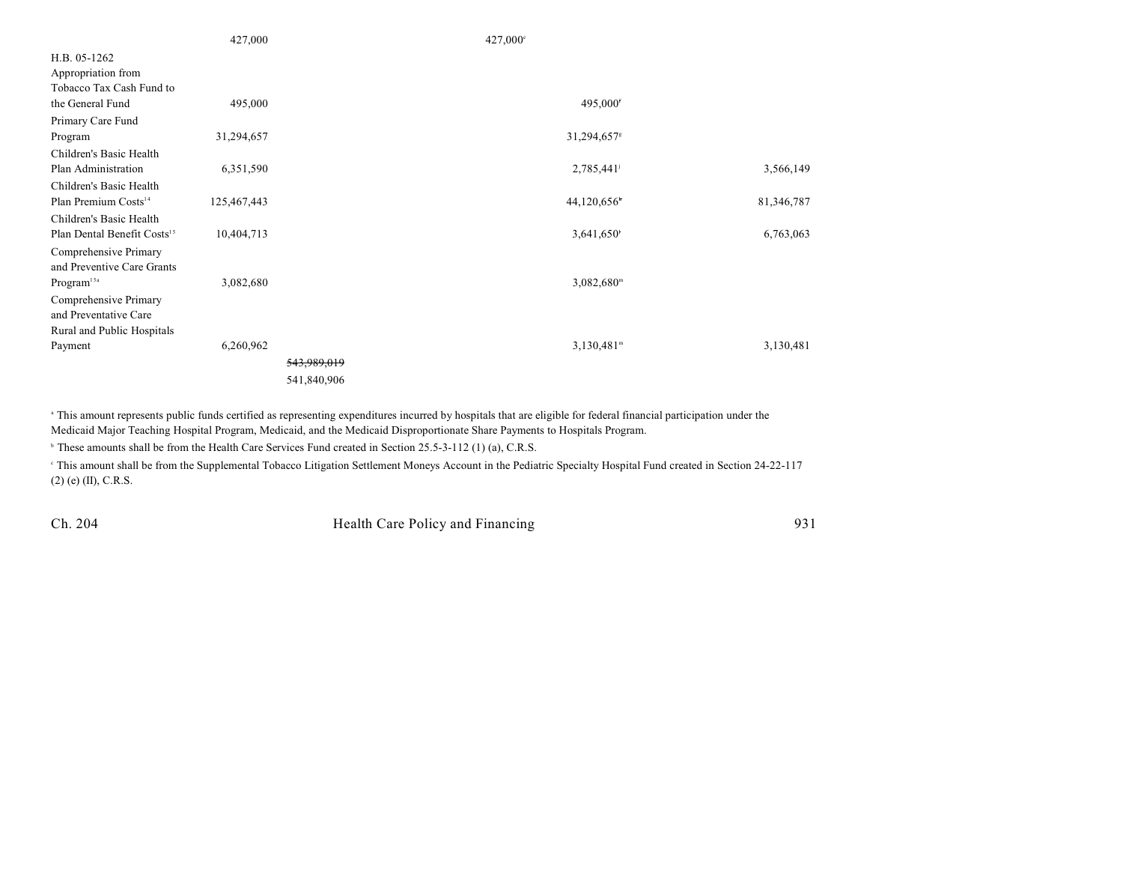|                                         | 427,000     |             | 427,000°                 |            |
|-----------------------------------------|-------------|-------------|--------------------------|------------|
| H.B. 05-1262                            |             |             |                          |            |
| Appropriation from                      |             |             |                          |            |
| Tobacco Tax Cash Fund to                |             |             |                          |            |
| the General Fund                        | 495,000     |             | 495,000 <sup>f</sup>     |            |
| Primary Care Fund                       |             |             |                          |            |
| Program                                 | 31,294,657  |             | 31,294,657 <sup>s</sup>  |            |
| Children's Basic Health                 |             |             |                          |            |
| Plan Administration                     | 6,351,590   |             | 2,785,441                | 3,566,149  |
| Children's Basic Health                 |             |             |                          |            |
| Plan Premium Costs <sup>14</sup>        | 125,467,443 |             | 44,120,656               | 81,346,787 |
| Children's Basic Health                 |             |             |                          |            |
| Plan Dental Benefit Costs <sup>15</sup> | 10,404,713  |             | 3,641,650                | 6,763,063  |
| Comprehensive Primary                   |             |             |                          |            |
| and Preventive Care Grants              |             |             |                          |            |
| Program <sup>15a</sup>                  | 3,082,680   |             | $3,082,680$ <sup>m</sup> |            |
| Comprehensive Primary                   |             |             |                          |            |
| and Preventative Care                   |             |             |                          |            |
| Rural and Public Hospitals              |             |             |                          |            |
| Payment                                 | 6,260,962   |             | $3,130,481^m$            | 3,130,481  |
|                                         |             | 543,989,019 |                          |            |
|                                         |             | 541,840,906 |                          |            |

<sup>a</sup> This amount represents public funds certified as representing expenditures incurred by hospitals that are eligible for federal financial participation under the Medicaid Major Teaching Hospital Program, Medicaid, and the Medicaid Disproportionate Share Payments to Hospitals Program.

<sup>b</sup> These amounts shall be from the Health Care Services Fund created in Section 25.5-3-112 (1) (a), C.R.S.

 This amount shall be from the Supplemental Tobacco Litigation Settlement Moneys Account in the Pediatric Specialty Hospital Fund created in Section 24-22-117 <sup>c</sup> (2) (e) (II), C.R.S.

Ch. 204 Health Care Policy and Financing 931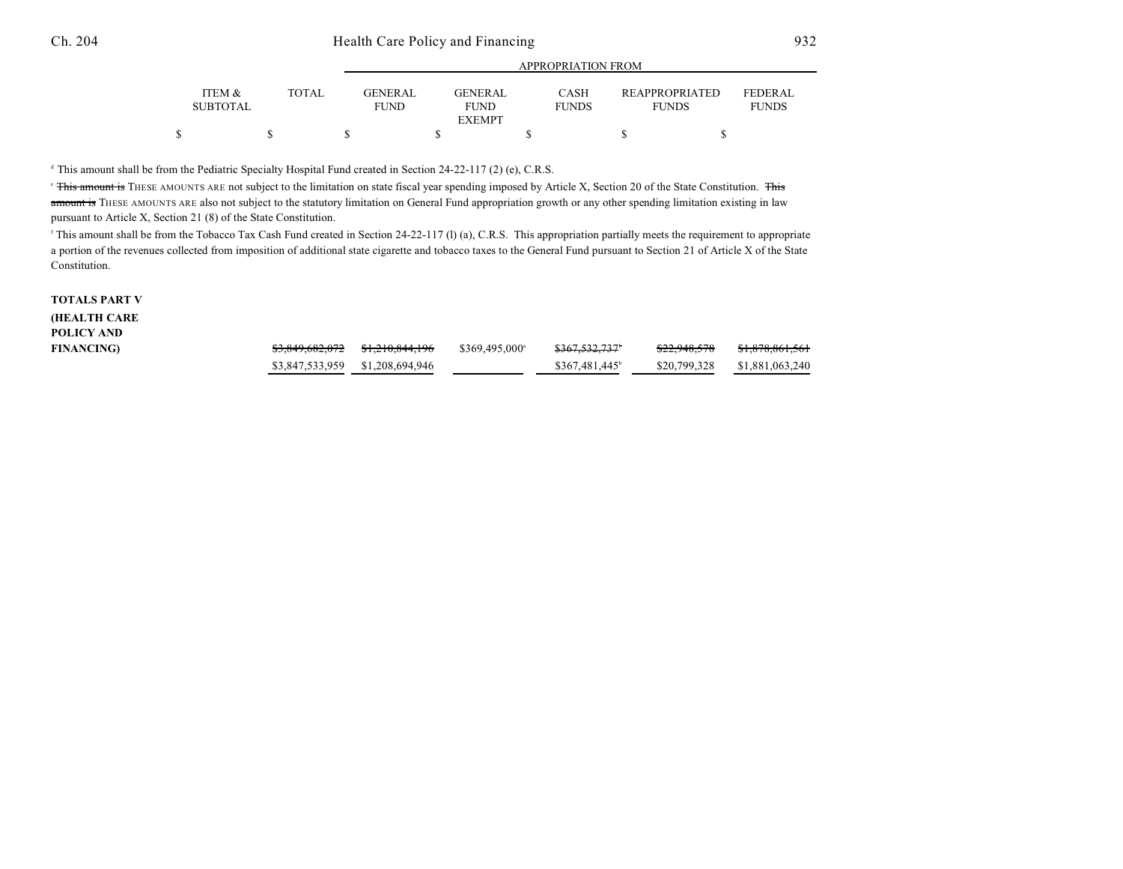|                           |              | APPROPRIATION FROM            |                        |                             |                                       |                                |  |
|---------------------------|--------------|-------------------------------|------------------------|-----------------------------|---------------------------------------|--------------------------------|--|
| ITEM &<br><b>SUBTOTAL</b> | <b>TOTAL</b> | <b>GENERAL</b><br><b>FUND</b> | GENERAL<br><b>FUND</b> | <b>CASH</b><br><b>FUNDS</b> | <b>REAPPROPRIATED</b><br><b>FUNDS</b> | <b>FEDERAL</b><br><b>FUNDS</b> |  |
|                           |              |                               | <b>EXEMPT</b>          |                             |                                       |                                |  |
|                           |              |                               |                        |                             |                                       |                                |  |

<sup>d</sup> This amount shall be from the Pediatric Specialty Hospital Fund created in Section 24-22-117 (2) (e), C.R.S.

<sup>e</sup> This amount is THESE AMOUNTS ARE not subject to the limitation on state fiscal year spending imposed by Article X, Section 20 of the State Constitution. This amount is THESE AMOUNTS ARE also not subject to the statutory limitation on General Fund appropriation growth or any other spending limitation existing in law pursuant to Article X, Section 21 (8) of the State Constitution.

<sup>f</sup> This amount shall be from the Tobacco Tax Cash Fund created in Section 24-22-117 (l) (a), C.R.S. This appropriation partially meets the requirement to appropriate a portion of the revenues collected from imposition of additional state cigarette and tobacco taxes to the General Fund pursuant to Section 21 of Article X of the State Constitution.

## **TOTALS PART V (HEALTH CARE POLICY AND**

| <b>FINANCING)</b> |                                 | \$369,495,000 <sup>a</sup> | \$367,532,737 <sup>6</sup>  | <del>\$22,948,578</del> | \$1,878,861,561              |
|-------------------|---------------------------------|----------------------------|-----------------------------|-------------------------|------------------------------|
|                   | \$3,847,533,959 \$1,208,694,946 |                            | $$367.481.445$ <sup>b</sup> |                         | \$20.799.328 \$1.881.063.240 |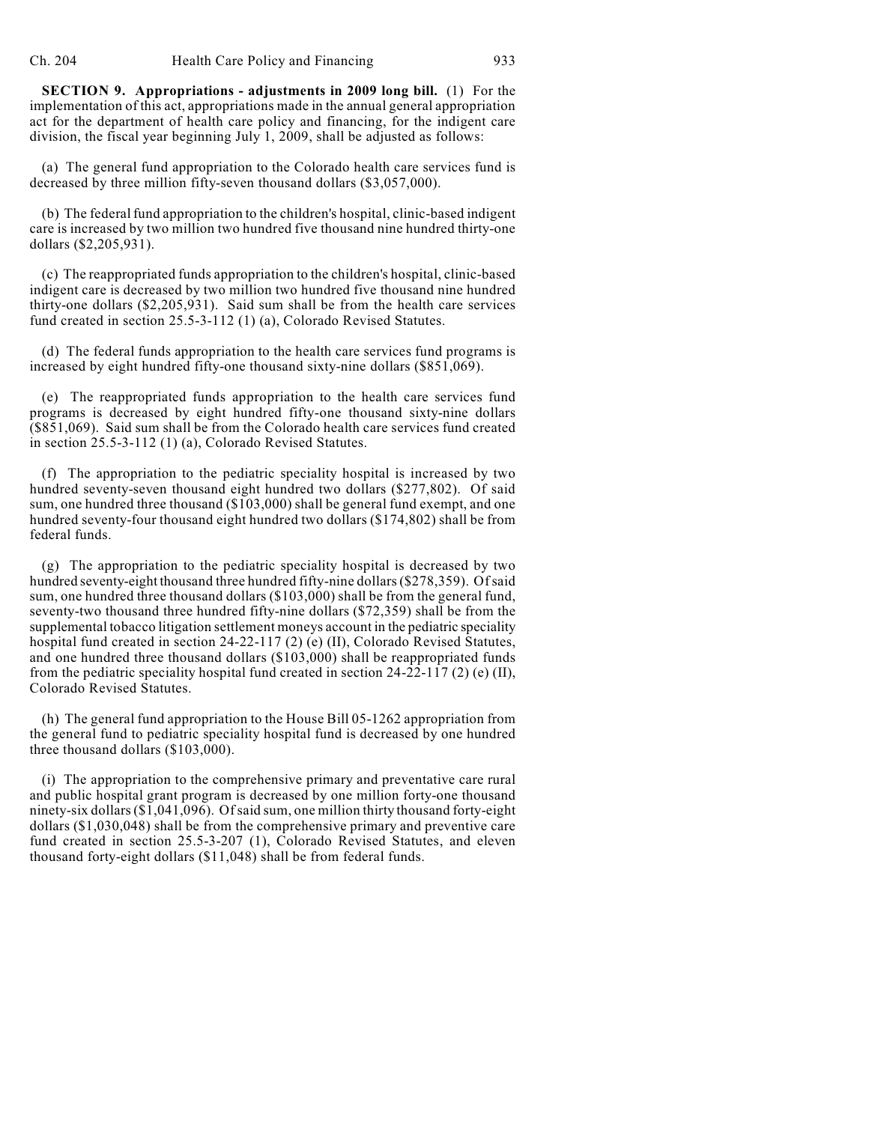**SECTION 9. Appropriations - adjustments in 2009 long bill.** (1) For the implementation of this act, appropriations made in the annual general appropriation act for the department of health care policy and financing, for the indigent care division, the fiscal year beginning July 1, 2009, shall be adjusted as follows:

(a) The general fund appropriation to the Colorado health care services fund is decreased by three million fifty-seven thousand dollars (\$3,057,000).

(b) The federal fund appropriation to the children's hospital, clinic-based indigent care is increased by two million two hundred five thousand nine hundred thirty-one dollars (\$2,205,931).

(c) The reappropriated funds appropriation to the children's hospital, clinic-based indigent care is decreased by two million two hundred five thousand nine hundred thirty-one dollars (\$2,205,931). Said sum shall be from the health care services fund created in section 25.5-3-112 (1) (a), Colorado Revised Statutes.

(d) The federal funds appropriation to the health care services fund programs is increased by eight hundred fifty-one thousand sixty-nine dollars (\$851,069).

(e) The reappropriated funds appropriation to the health care services fund programs is decreased by eight hundred fifty-one thousand sixty-nine dollars (\$851,069). Said sum shall be from the Colorado health care services fund created in section 25.5-3-112 (1) (a), Colorado Revised Statutes.

(f) The appropriation to the pediatric speciality hospital is increased by two hundred seventy-seven thousand eight hundred two dollars (\$277,802). Of said sum, one hundred three thousand (\$103,000) shall be general fund exempt, and one hundred seventy-four thousand eight hundred two dollars (\$174,802) shall be from federal funds.

(g) The appropriation to the pediatric speciality hospital is decreased by two hundred seventy-eight thousand three hundred fifty-nine dollars (\$278,359). Of said sum, one hundred three thousand dollars (\$103,000) shall be from the general fund, seventy-two thousand three hundred fifty-nine dollars (\$72,359) shall be from the supplemental tobacco litigation settlement moneys account in the pediatric speciality hospital fund created in section 24-22-117 (2) (e) (II), Colorado Revised Statutes, and one hundred three thousand dollars (\$103,000) shall be reappropriated funds from the pediatric speciality hospital fund created in section 24-22-117 (2) (e) (II), Colorado Revised Statutes.

(h) The general fund appropriation to the House Bill 05-1262 appropriation from the general fund to pediatric speciality hospital fund is decreased by one hundred three thousand dollars (\$103,000).

(i) The appropriation to the comprehensive primary and preventative care rural and public hospital grant program is decreased by one million forty-one thousand ninety-six dollars (\$1,041,096). Of said sum, one million thirty thousand forty-eight dollars (\$1,030,048) shall be from the comprehensive primary and preventive care fund created in section 25.5-3-207 (1), Colorado Revised Statutes, and eleven thousand forty-eight dollars (\$11,048) shall be from federal funds.